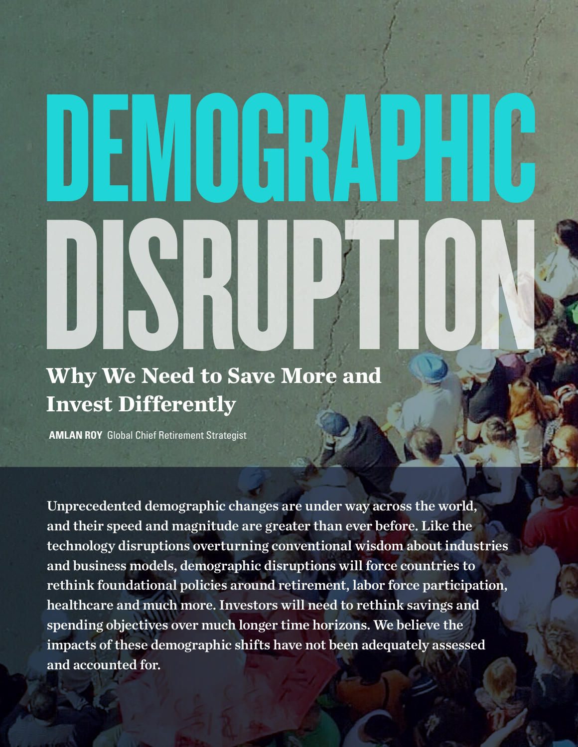# DEMOGRAPHIC Why We Need to Save More and

# **Why We Need to Save More and Invest Differently**

**AMLAN ROY** Global Chief Retirement Strategist

Unprecedented demographic changes are under way across the world, and their speed and magnitude are greater than ever before. Like the technology disruptions overturning conventional wisdom about industries and business models, demographic disruptions will force countries to rethink foundational policies around retirement, labor force participation, healthcare and much more. Investors will need to rethink savings and spending objectives over much longer time horizons. We believe the impacts of these demographic shifts have not been adequately assessed and accounted for.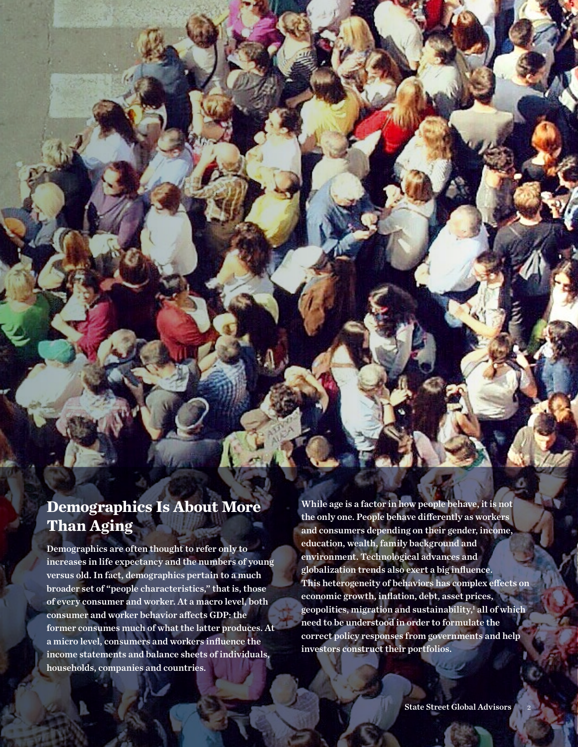# **Demographics Is About More Than Aging**

Demographics are often thought to refer only to increases in life expectancy and the numbers of young versus old. In fact, demographics pertain to a much broader set of "people characteristics," that is, those of every consumer and worker. At a macro level, both consumer and worker behavior affects GDP: the former consumes much of what the latter produces. At a micro level, consumers and workers influence the income statements and balance sheets of individuals, households, companies and countries.

While age is a factor in how people behave, it is not the only one. People behave differently as workers and consumers depending on their gender, income, education, wealth, family background and environment. Technological advances and globalization trends also exert a big influence. This heterogeneity of behaviors has complex effects on economic growth, inflation, debt, asset prices, geopolitics, migration and sustainability,1 all of which need to be understood in order to formulate the correct policy responses from governments and help investors construct their portfolios.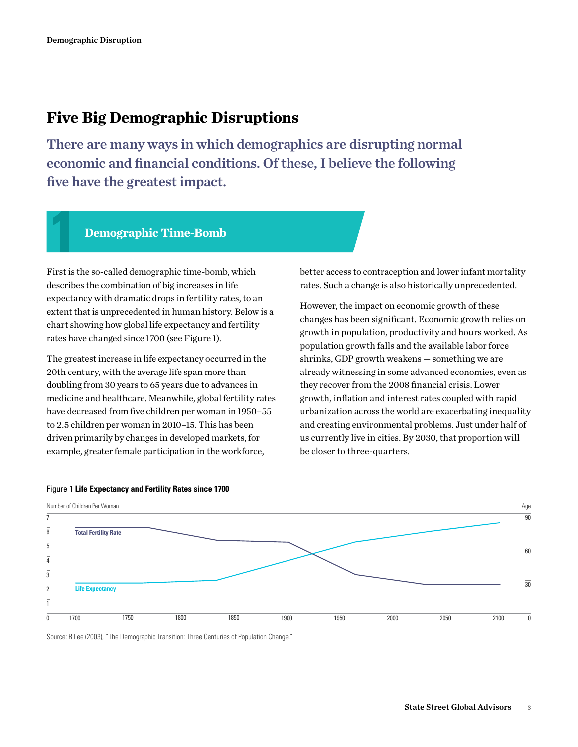# **Five Big Demographic Disruptions**

There are many ways in which demographics are disrupting normal economic and financial conditions. Of these, I believe the following five have the greatest impact.

### **1 Demographic Time-Bomb**

First is the so-called demographic time-bomb, which describes the combination of big increases in life expectancy with dramatic drops in fertility rates, to an extent that is unprecedented in human history. Below is a chart showing how global life expectancy and fertility rates have changed since 1700 (see Figure 1).

The greatest increase in life expectancy occurred in the 20th century, with the average life span more than doubling from 30 years to 65 years due to advances in medicine and healthcare. Meanwhile, global fertility rates have decreased from five children per woman in 1950–55 to 2.5 children per woman in 2010–15. This has been driven primarily by changes in developed markets, for example, greater female participation in the workforce,

better access to contraception and lower infant mortality rates. Such a change is also historically unprecedented.

However, the impact on economic growth of these changes has been significant. Economic growth relies on growth in population, productivity and hours worked. As population growth falls and the available labor force shrinks, GDP growth weakens — something we are already witnessing in some advanced economies, even as they recover from the 2008 financial crisis. Lower growth, inflation and interest rates coupled with rapid urbanization across the world are exacerbating inequality and creating environmental problems. Just under half of us currently live in cities. By 2030, that proportion will be closer to three-quarters.



### Figure 1 **Life Expectancy and Fertility Rates since 1700**

Source: R Lee (2003), "The Demographic Transition: Three Centuries of Population Change."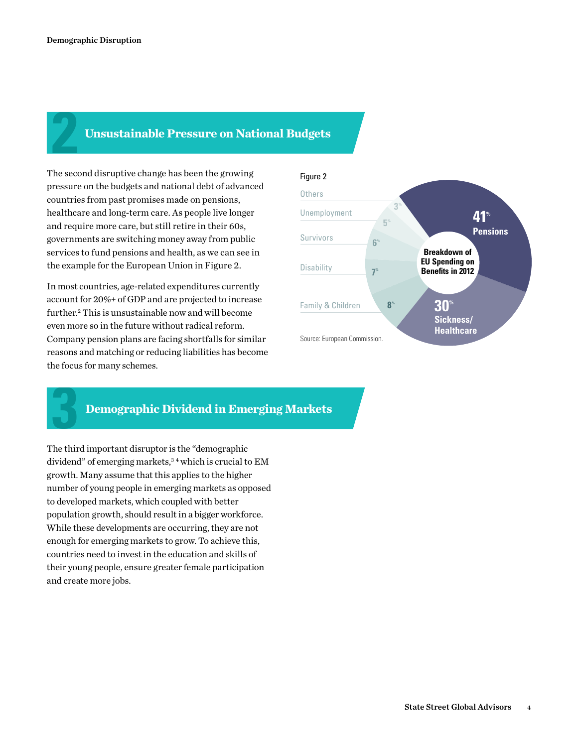# **2 Unsustainable Pressure on National Budgets**

The second disruptive change has been the growing pressure on the budgets and national debt of advanced countries from past promises made on pensions, healthcare and long-term care. As people live longer and require more care, but still retire in their 60s, governments are switching money away from public services to fund pensions and health, as we can see in the example for the European Union in Figure 2.

In most countries, age-related expenditures currently account for 20%+ of GDP and are projected to increase further.2 This is unsustainable now and will become even more so in the future without radical reform. Company pension plans are facing shortfalls for similar reasons and matching or reducing liabilities has become the focus for many schemes.



# **3 Demographic Dividend in Emerging Markets**

The third important disruptor is the "demographic dividend" of emerging markets,<sup>34</sup> which is crucial to EM growth. Many assume that this applies to the higher number of young people in emerging markets as opposed to developed markets, which coupled with better population growth, should result in a bigger workforce. While these developments are occurring, they are not enough for emerging markets to grow. To achieve this, countries need to invest in the education and skills of their young people, ensure greater female participation and create more jobs.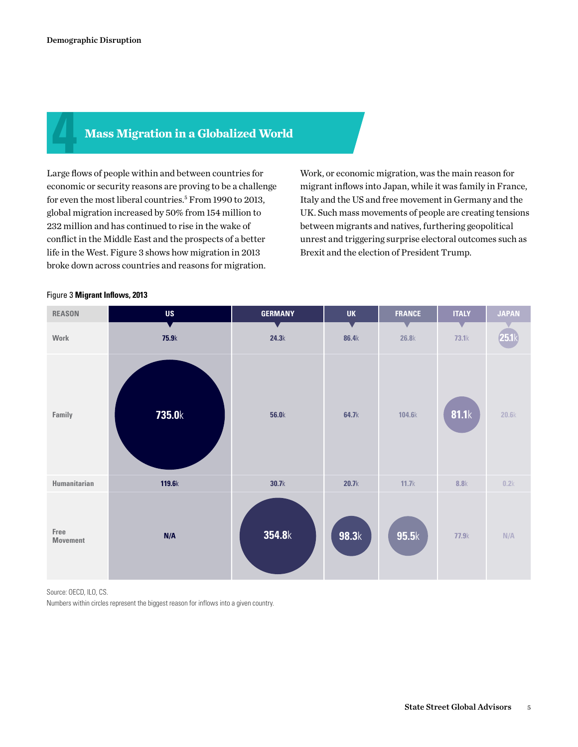## **4 Mass Migration in a Globalized World**

Large flows of people within and between countries for economic or security reasons are proving to be a challenge for even the most liberal countries.<sup>5</sup> From 1990 to 2013, global migration increased by 50% from 154 million to 232 million and has continued to rise in the wake of conflict in the Middle East and the prospects of a better life in the West. Figure 3 shows how migration in 2013 broke down across countries and reasons for migration.

Work, or economic migration, was the main reason for migrant inflows into Japan, while it was family in France, Italy and the US and free movement in Germany and the UK. Such mass movements of people are creating tensions between migrants and natives, furthering geopolitical unrest and triggering surprise electoral outcomes such as Brexit and the election of President Trump.



### Figure 3 **Migrant Inflows, 2013**

Source: OECD, ILO, CS.

Numbers within circles represent the biggest reason for inflows into a given country.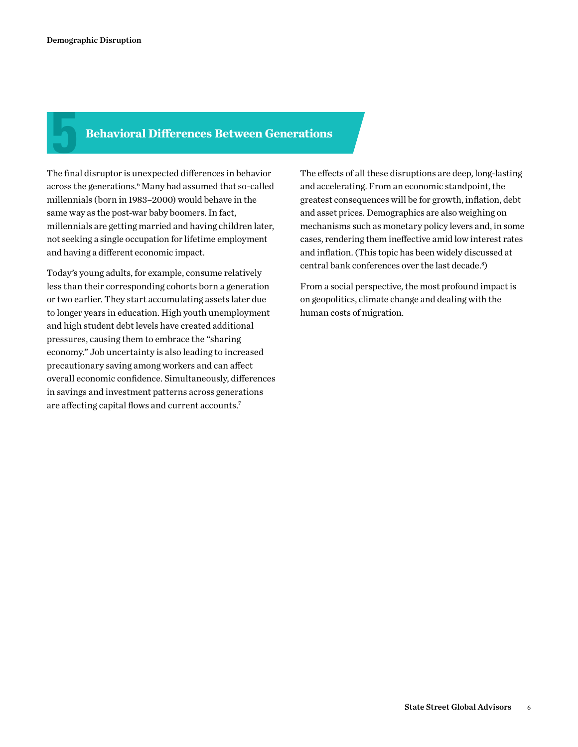# **5 Behavioral Differences Between Generations**

The final disruptor is unexpected differences in behavior across the generations.<sup>6</sup> Many had assumed that so-called millennials (born in 1983–2000) would behave in the same way as the post-war baby boomers. In fact, millennials are getting married and having children later, not seeking a single occupation for lifetime employment and having a different economic impact.

Today's young adults, for example, consume relatively less than their corresponding cohorts born a generation or two earlier. They start accumulating assets later due to longer years in education. High youth unemployment and high student debt levels have created additional pressures, causing them to embrace the "sharing economy." Job uncertainty is also leading to increased precautionary saving among workers and can affect overall economic confidence. Simultaneously, differences in savings and investment patterns across generations are affecting capital flows and current accounts.7

The effects of all these disruptions are deep, long-lasting and accelerating. From an economic standpoint, the greatest consequences will be for growth, inflation, debt and asset prices. Demographics are also weighing on mechanisms such as monetary policy levers and, in some cases, rendering them ineffective amid low interest rates and inflation. (This topic has been widely discussed at central bank conferences over the last decade.<sup>8</sup>)

From a social perspective, the most profound impact is on geopolitics, climate change and dealing with the human costs of migration.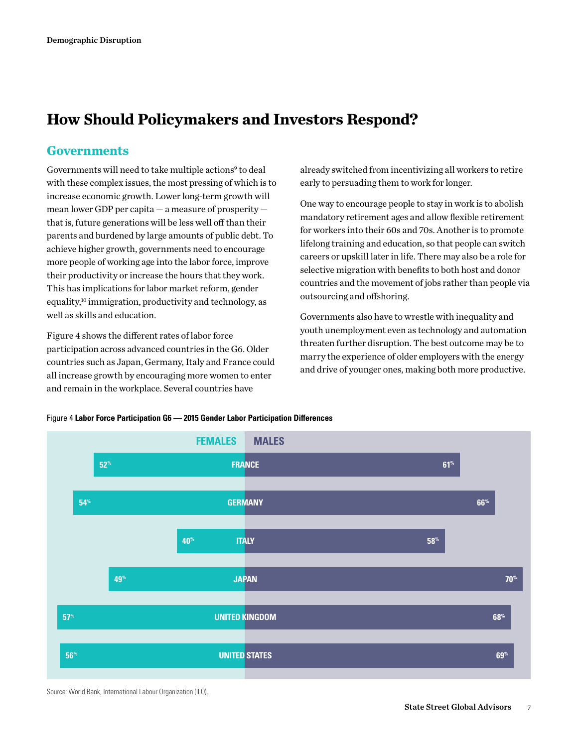# **How Should Policymakers and Investors Respond?**

# **Governments**

Governments will need to take multiple actions<sup>9</sup> to deal with these complex issues, the most pressing of which is to increase economic growth. Lower long-term growth will mean lower GDP per capita — a measure of prosperity that is, future generations will be less well off than their parents and burdened by large amounts of public debt. To achieve higher growth, governments need to encourage more people of working age into the labor force, improve their productivity or increase the hours that they work. This has implications for labor market reform, gender equality,10 immigration, productivity and technology, as well as skills and education.

Figure 4 shows the different rates of labor force participation across advanced countries in the G6. Older countries such as Japan, Germany, Italy and France could all increase growth by encouraging more women to enter and remain in the workplace. Several countries have

already switched from incentivizing all workers to retire early to persuading them to work for longer.

One way to encourage people to stay in work is to abolish mandatory retirement ages and allow flexible retirement for workers into their 60s and 70s. Another is to promote lifelong training and education, so that people can switch careers or upskill later in life. There may also be a role for selective migration with benefits to both host and donor countries and the movement of jobs rather than people via outsourcing and offshoring.

Governments also have to wrestle with inequality and youth unemployment even as technology and automation threaten further disruption. The best outcome may be to marry the experience of older employers with the energy and drive of younger ones, making both more productive.





Source: World Bank, International Labour Organization (ILO).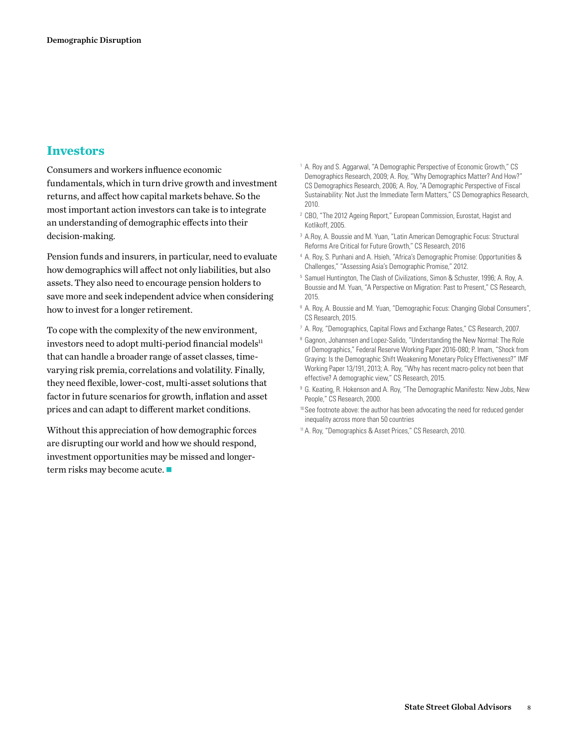# **Investors**

Consumers and workers influence economic fundamentals, which in turn drive growth and investment returns, and affect how capital markets behave. So the most important action investors can take is to integrate an understanding of demographic effects into their decision-making.

Pension funds and insurers, in particular, need to evaluate how demographics will affect not only liabilities, but also assets. They also need to encourage pension holders to save more and seek independent advice when considering how to invest for a longer retirement.

To cope with the complexity of the new environment, investors need to adopt multi-period financial models $\mathbf{u}$ that can handle a broader range of asset classes, timevarying risk premia, correlations and volatility. Finally, they need flexible, lower-cost, multi-asset solutions that factor in future scenarios for growth, inflation and asset prices and can adapt to different market conditions.

Without this appreciation of how demographic forces are disrupting our world and how we should respond, investment opportunities may be missed and longerterm risks may become acute.  $\blacksquare$ 

- <sup>1</sup> A. Roy and S. Aggarwal, "A Demographic Perspective of Economic Growth," CS Demographics Research, 2009; A. Roy, "Why Demographics Matter? And How?" CS Demographics Research, 2006; A. Roy, "A Demographic Perspective of Fiscal Sustainability: Not Just the Immediate Term Matters," CS Demographics Research, 2010.
- <sup>2</sup> CBO, "The 2012 Ageing Report," European Commission, Eurostat, Hagist and Kotlikoff, 2005.
- <sup>3</sup> A.Roy, A. Boussie and M. Yuan, "Latin American Demographic Focus: Structural Reforms Are Critical for Future Growth," CS Research, 2016
- <sup>4</sup> A. Roy, S. Punhani and A. Hsieh, "Africa's Demographic Promise: Opportunities & Challenges," "Assessing Asia's Demographic Promise," 2012.
- <sup>5</sup> Samuel Huntington, The Clash of Civilizations, Simon & Schuster, 1996; A. Roy, A. Boussie and M. Yuan, "A Perspective on Migration: Past to Present," CS Research, 2015.
- <sup>6</sup> A. Roy, A. Boussie and M. Yuan, "Demographic Focus: Changing Global Consumers", CS Research, 2015.
- <sup>7</sup> A. Roy, "Demographics, Capital Flows and Exchange Rates," CS Research, 2007.
- <sup>8</sup> Gagnon, Johannsen and Lopez-Salido, "Understanding the New Normal: The Role of Demographics," Federal Reserve Working Paper 2016-080; P. Imam, "Shock from Graying: Is the Demographic Shift Weakening Monetary Policy Effectiveness?" IMF Working Paper 13/191, 2013; A. Roy, "Why has recent macro-policy not been that effective? A demographic view," CS Research, 2015.
- <sup>9</sup> G. Keating, R. Hokenson and A. Roy, "The Demographic Manifesto: New Jobs, New People," CS Research, 2000.
- <sup>10</sup> See footnote above: the author has been advocating the need for reduced gender inequality across more than 50 countries
- 11A. Roy, "Demographics & Asset Prices," CS Research, 2010.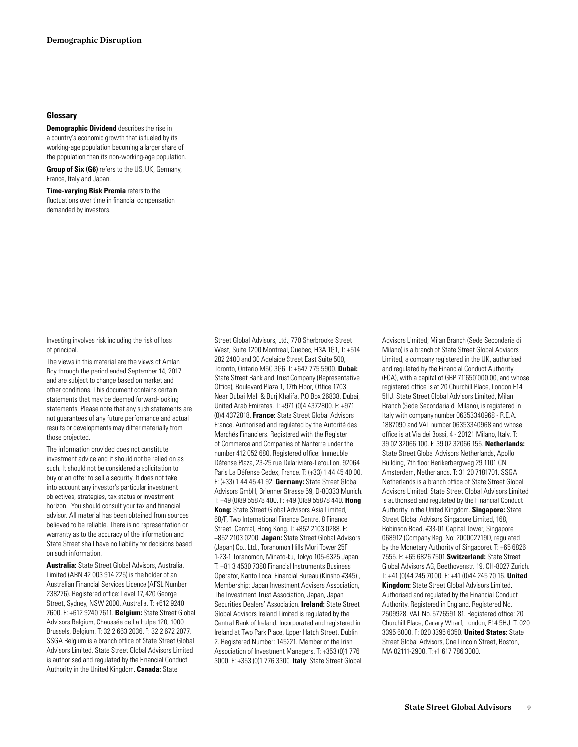### **Glossary**

**Demographic Dividend** describes the rise in a country's economic growth that is fueled by its working-age population becoming a larger share of the population than its non-working-age population.

**Group of Six (G6)** refers to the US, UK, Germany, France, Italy and Japan.

**Time-varying Risk Premia** refers to the fluctuations over time in financial compensation demanded by investors.

Investing involves risk including the risk of loss of principal.

The views in this material are the views of Amlan Roy through the period ended September 14, 2017 and are subject to change based on market and other conditions. This document contains certain statements that may be deemed forward-looking statements. Please note that any such statements are not guarantees of any future performance and actual results or developments may differ materially from those projected.

The information provided does not constitute investment advice and it should not be relied on as such. It should not be considered a solicitation to buy or an offer to sell a security. It does not take into account any investor's particular investment objectives, strategies, tax status or investment horizon. You should consult your tax and financial advisor. All material has been obtained from sources believed to be reliable. There is no representation or warranty as to the accuracy of the information and State Street shall have no liability for decisions based on such information.

**Australia:** State Street Global Advisors, Australia, Limited (ABN 42 003 914 225) is the holder of an Australian Financial Services Licence (AFSL Number 238276). Registered office: Level 17, 420 George Street, Sydney, NSW 2000, Australia. T: +612 9240 7600. F: +612 9240 7611. **Belgium:** State Street Global Advisors Belgium, Chaussée de La Hulpe 120, 1000 Brussels, Belgium. T: 32 2 663 2036. F: 32 2 672 2077. SSGA Belgium is a branch office of State Street Global Advisors Limited. State Street Global Advisors Limited is authorised and regulated by the Financial Conduct Authority in the United Kingdom. **Canada:** State

Street Global Advisors, Ltd., 770 Sherbrooke Street West, Suite 1200 Montreal, Quebec, H3A 1G1, T: +514 282 2400 and 30 Adelaide Street East Suite 500, Toronto, Ontario M5C 3G6. T: +647 775 5900. **Dubai:** State Street Bank and Trust Company (Representative Office), Boulevard Plaza 1, 17th Floor, Office 1703 Near Dubai Mall & Burj Khalifa, P.O Box 26838, Dubai, United Arab Emirates. T: +971 (0)4 4372800. F: +971 (0)4 4372818. **France:** State Street Global Advisors France. Authorised and regulated by the Autorité des Marchés Financiers. Registered with the Register of Commerce and Companies of Nanterre under the number 412 052 680. Registered office: Immeuble Défense Plaza, 23-25 rue Delarivière-Lefoullon, 92064 Paris La Défense Cedex, France. T: (+33) 1 44 45 40 00. F: (+33) 1 44 45 41 92. **Germany:** State Street Global Advisors GmbH, Brienner Strasse 59, D-80333 Munich. T: +49 (0)89 55878 400. F: +49 (0)89 55878 440. **Hong Kong:** State Street Global Advisors Asia Limited, 68/F, Two International Finance Centre, 8 Finance Street, Central, Hong Kong. T: +852 2103 0288. F: +852 2103 0200. **Japan:** State Street Global Advisors (Japan) Co., Ltd., Toranomon Hills Mori Tower 25F 1-23-1 Toranomon, Minato-ku, Tokyo 105-6325 Japan. T: +81 3 4530 7380 Financial Instruments Business Operator, Kanto Local Financial Bureau (Kinsho #345) , Membership: Japan Investment Advisers Association, The Investment Trust Association, Japan, Japan Securities Dealers' Association. **Ireland:** State Street Global Advisors Ireland Limited is regulated by the Central Bank of Ireland. Incorporated and registered in Ireland at Two Park Place, Upper Hatch Street, Dublin 2. Registered Number: 145221. Member of the Irish Association of Investment Managers. T: +353 (0)1 776 3000. F: +353 (0)1 776 3300. **Italy**: State Street Global Advisors Limited, Milan Branch (Sede Secondaria di Milano) is a branch of State Street Global Advisors Limited, a company registered in the UK, authorised and regulated by the Financial Conduct Authority (FCA), with a capital of GBP 71'650'000.00, and whose registered office is at 20 Churchill Place, London E14 5HJ. State Street Global Advisors Limited, Milan Branch (Sede Secondaria di Milano), is registered in Italy with company number 06353340968 - R.E.A. 1887090 and VAT number 06353340968 and whose office is at Via dei Bossi, 4 - 20121 Milano, Italy. T: 39 02 32066 100. F: 39 02 32066 155. **Netherlands:** State Street Global Advisors Netherlands, Apollo Building, 7th floor Herikerbergweg 29 1101 CN Amsterdam, Netherlands. T: 31 20 7181701. SSGA Netherlands is a branch office of State Street Global Advisors Limited. State Street Global Advisors Limited is authorised and regulated by the Financial Conduct Authority in the United Kingdom. **Singapore:** State Street Global Advisors Singapore Limited, 168, Robinson Road, #33-01 Capital Tower, Singapore 068912 (Company Reg. No: 200002719D, regulated by the Monetary Authority of Singapore). T: +65 6826 7555. F: +65 6826 7501.**Switzerland:** State Street Global Advisors AG, Beethovenstr. 19, CH-8027 Zurich. T: +41 (0)44 245 70 00. F: +41 (0)44 245 70 16. **United Kingdom:** State Street Global Advisors Limited. Authorised and regulated by the Financial Conduct Authority. Registered in England. Registered No. 2509928. VAT No. 5776591 81. Registered office: 20 Churchill Place, Canary Wharf, London, E14 5HJ. T: 020 3395 6000. F: 020 3395 6350. **United States:** State Street Global Advisors, One Lincoln Street, Boston, MA 02111-2900. T: +1 617 786 3000.